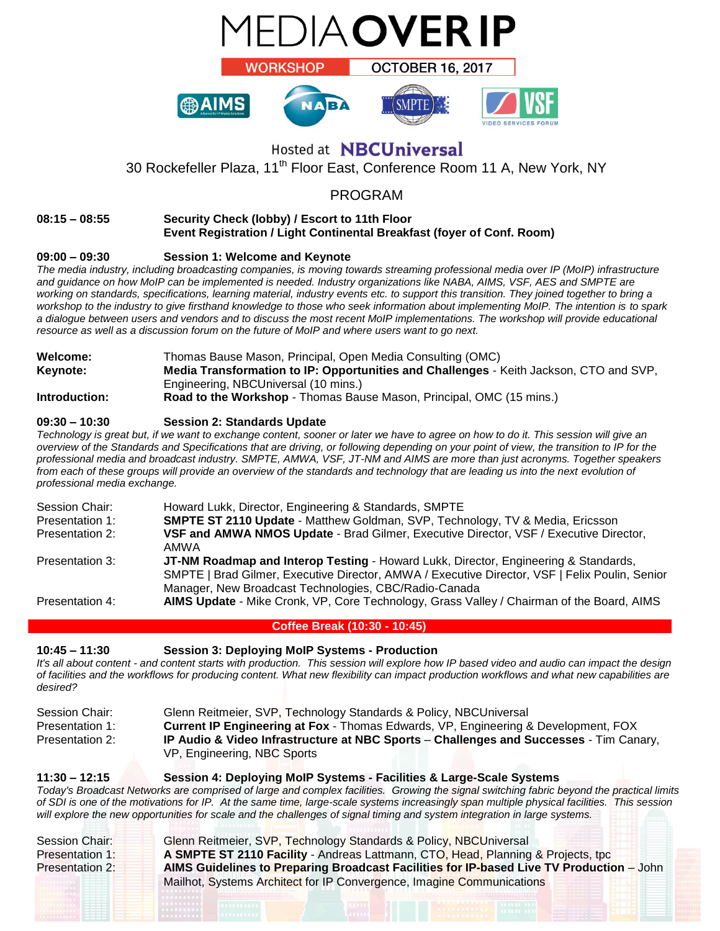

# Hosted at **NBCUniversal**

30 Rockefeller Plaza, 11<sup>th</sup> Floor East, Conference Room 11 A, New York, NY

## PROGRAM

## **08:15 – 08:55 Security Check (lobby) / Escort to 11th Floor Event Registration / Light Continental Breakfast (foyer of Conf. Room)**

## **09:00 – 09:30 Session 1: Welcome and Keynote**

*The media industry, including broadcasting companies, is moving towards streaming professional media over IP (MoIP) infrastructure and guidance on how MoIP can be implemented is needed. Industry organizations like NABA, AIMS, VSF, AES and SMPTE are working on standards, specifications, learning material, industry events etc. to support this transition. They joined together to bring a workshop to the industry to give firsthand knowledge to those who seek information about implementing MoIP. The intention is to spark a dialogue between users and vendors and to discuss the most recent MoIP implementations. The workshop will provide educational resource as well as a discussion forum on the future of MoIP and where users want to go next.* 

| <b>Welcome:</b> | Thomas Bause Mason, Principal, Open Media Consulting (OMC)                             |
|-----------------|----------------------------------------------------------------------------------------|
| Keynote:        | Media Transformation to IP: Opportunities and Challenges - Keith Jackson, CTO and SVP, |
|                 | Engineering, NBCUniversal (10 mins.)                                                   |
| Introduction:   | Road to the Workshop - Thomas Bause Mason, Principal, OMC (15 mins.)                   |

## **09:30 – 10:30 Session 2: Standards Update**

*Technology is great but, if we want to exchange content, sooner or later we have to agree on how to do it. This session will give an overview of the Standards and Specifications that are driving, or following depending on your point of view, the transition to IP for the professional media and broadcast industry. SMPTE, AMWA, VSF, JT-NM and AIMS are more than just acronyms. Together speakers*  from each of these groups will provide an overview of the standards and technology that are leading us into the next evolution of *professional media exchange.*

| Session Chair:  | Howard Lukk, Director, Engineering & Standards, SMPTE                                                                                                                                                                                          |
|-----------------|------------------------------------------------------------------------------------------------------------------------------------------------------------------------------------------------------------------------------------------------|
| Presentation 1: | <b>SMPTE ST 2110 Update - Matthew Goldman, SVP, Technology, TV &amp; Media, Ericsson</b>                                                                                                                                                       |
| Presentation 2: | VSF and AMWA NMOS Update - Brad Gilmer, Executive Director, VSF / Executive Director,<br>AMWA                                                                                                                                                  |
| Presentation 3: | JT-NM Roadmap and Interop Testing - Howard Lukk, Director, Engineering & Standards,<br>SMPTE   Brad Gilmer, Executive Director, AMWA / Executive Director, VSF   Felix Poulin, Senior<br>Manager, New Broadcast Technologies, CBC/Radio-Canada |
| Presentation 4: | AIMS Update - Mike Cronk, VP, Core Technology, Grass Valley / Chairman of the Board, AIMS                                                                                                                                                      |
|                 |                                                                                                                                                                                                                                                |

## **Coffee Break (10:30 - 10:45)**

## **10:45 – 11:30 Session 3: Deploying MoIP Systems - Production**

*It's all about content - and content starts with production. This session will explore how IP based video and audio can impact the design of facilities and the workflows for producing content. What new flexibility can impact production workflows and what new capabilities are desired?*

| Session Chair:  | Glenn Reitmeier, SVP, Technology Standards & Policy, NBCUniversal                             |
|-----------------|-----------------------------------------------------------------------------------------------|
| Presentation 1: | <b>Current IP Engineering at Fox - Thomas Edwards, VP, Engineering &amp; Development, FOX</b> |
| Presentation 2: | IP Audio & Video Infrastructure at NBC Sports – Challenges and Successes - Tim Canary,        |
|                 | VP, Engineering, NBC Sports                                                                   |

### **11:30 – 12:15 Session 4: Deploying MoIP Systems - Facilities & Large-Scale Systems**

*Today's Broadcast Networks are comprised of large and complex facilities. Growing the signal switching fabric beyond the practical limits of SDI is one of the motivations for IP. At the same time, large-scale systems increasingly span multiple physical facilities. This session will explore the new opportunities for scale and the challenges of signal timing and system integration in large systems.*

| Session Chair:  | Glenn Reitmeier, SVP, Technology Standards & Policy, NBCUniversal                        |
|-----------------|------------------------------------------------------------------------------------------|
| Presentation 1: | A SMPTE ST 2110 Facility - Andreas Lattmann, CTO, Head, Planning & Projects, tpc         |
| Presentation 2: | AIMS Guidelines to Preparing Broadcast Facilities for IP-based Live TV Production - John |
|                 | Mailhot, Systems Architect for IP Convergence, Imagine Communications                    |